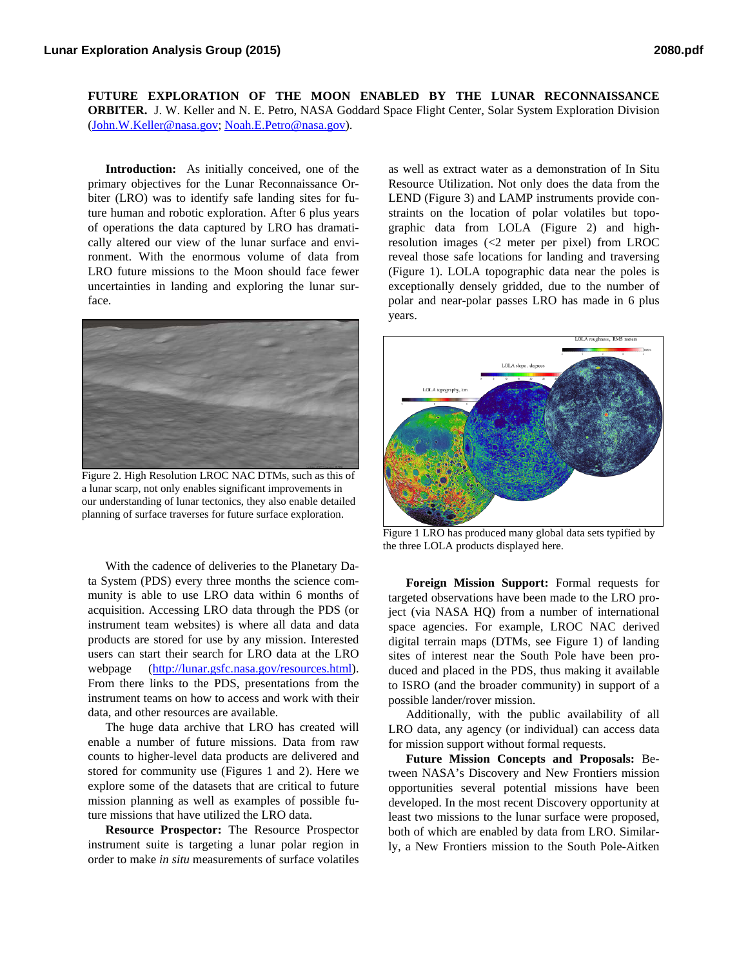**FUTURE EXPLORATION OF THE MOON ENABLED BY THE LUNAR RECONNAISSANCE ORBITER.** J. W. Keller and N. E. Petro, NASA Goddard Space Flight Center, Solar System Exploration Division (John.W.Keller@nasa.gov; Noah.E.Petro@nasa.gov).

**Introduction:** As initially conceived, one of the primary objectives for the Lunar Reconnaissance Orbiter (LRO) was to identify safe landing sites for future human and robotic exploration. After 6 plus years of operations the data captured by LRO has dramatically altered our view of the lunar surface and environment. With the enormous volume of data from LRO future missions to the Moon should face fewer uncertainties in landing and exploring the lunar surface.



Figure 2. High Resolution LROC NAC DTMs, such as this of a lunar scarp, not only enables significant improvements in our understanding of lunar tectonics, they also enable detailed planning of surface traverses for future surface exploration.

With the cadence of deliveries to the Planetary Data System (PDS) every three months the science community is able to use LRO data within 6 months of acquisition. Accessing LRO data through the PDS (or instrument team websites) is where all data and data products are stored for use by any mission. Interested users can start their search for LRO data at the LRO webpage (http://lunar.gsfc.nasa.gov/resources.html). From there links to the PDS, presentations from the instrument teams on how to access and work with their data, and other resources are available.

The huge data archive that LRO has created will enable a number of future missions. Data from raw counts to higher-level data products are delivered and stored for community use (Figures 1 and 2). Here we explore some of the datasets that are critical to future mission planning as well as examples of possible future missions that have utilized the LRO data.

**Resource Prospector:** The Resource Prospector instrument suite is targeting a lunar polar region in order to make *in situ* measurements of surface volatiles

as well as extract water as a demonstration of In Situ Resource Utilization. Not only does the data from the LEND (Figure 3) and LAMP instruments provide constraints on the location of polar volatiles but topographic data from LOLA (Figure 2) and highresolution images (<2 meter per pixel) from LROC reveal those safe locations for landing and traversing (Figure 1). LOLA topographic data near the poles is exceptionally densely gridded, due to the number of polar and near-polar passes LRO has made in 6 plus years.



Figure 1 LRO has produced many global data sets typified by the three LOLA products displayed here.

**Foreign Mission Support:** Formal requests for targeted observations have been made to the LRO project (via NASA HQ) from a number of international space agencies. For example, LROC NAC derived digital terrain maps (DTMs, see Figure 1) of landing sites of interest near the South Pole have been produced and placed in the PDS, thus making it available to ISRO (and the broader community) in support of a possible lander/rover mission.

Additionally, with the public availability of all LRO data, any agency (or individual) can access data for mission support without formal requests.

**Future Mission Concepts and Proposals:** Between NASA's Discovery and New Frontiers mission opportunities several potential missions have been developed. In the most recent Discovery opportunity at least two missions to the lunar surface were proposed, both of which are enabled by data from LRO. Similarly, a New Frontiers mission to the South Pole-Aitken